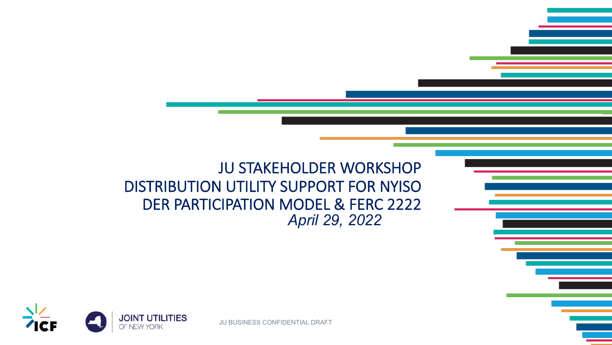JU STAKEHOLDER WORKSHOP DISTRIBUTION UTILITY SUPPORT FOR NYISO DER PARTICIPATION MODEL & FERC 2222 *April 29, 2022*



JU BUSINESS CONFIDENTIAL DRAFT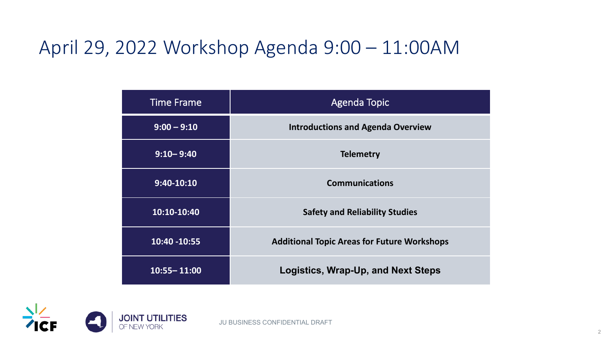#### April 29, 2022 Workshop Agenda 9:00 – 11:00AM

| <b>Time Frame</b> | <b>Agenda Topic</b>                                |
|-------------------|----------------------------------------------------|
| $9:00 - 9:10$     | <b>Introductions and Agenda Overview</b>           |
| $9:10 - 9:40$     | <b>Telemetry</b>                                   |
| $9:40-10:10$      | <b>Communications</b>                              |
| 10:10-10:40       | <b>Safety and Reliability Studies</b>              |
| 10:40 - 10:55     | <b>Additional Topic Areas for Future Workshops</b> |
| $10:55 - 11:00$   | Logistics, Wrap-Up, and Next Steps                 |

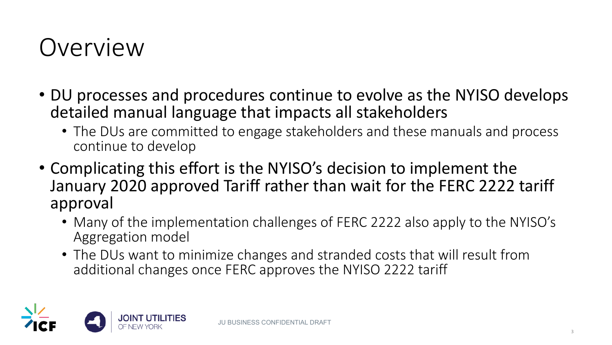# Overview

- DU processes and procedures continue to evolve as the NYISO develops detailed manual language that impacts all stakeholders
	- The DUs are committed to engage stakeholders and these manuals and process continue to develop
- Complicating this effort is the NYISO's decision to implement the January 2020 approved Tariff rather than wait for the FERC 2222 tariff approval
	- Many of the implementation challenges of FERC 2222 also apply to the NYISO's Aggregation model
	- The DUs want to minimize changes and stranded costs that will result from additional changes once FERC approves the NYISO 2222 tariff

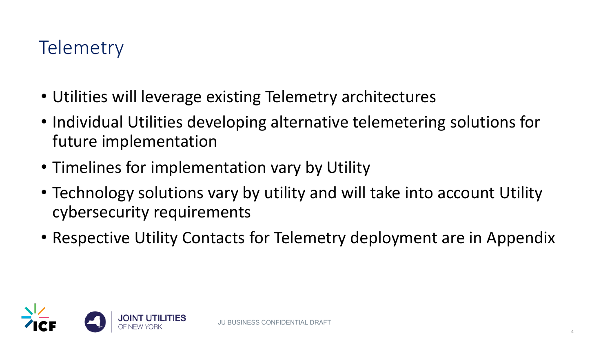### **Telemetry**

- Utilities will leverage existing Telemetry architectures
- Individual Utilities developing alternative telemetering solutions for future implementation
- Timelines for implementation vary by Utility
- Technology solutions vary by utility and will take into account Utility cybersecurity requirements
- Respective Utility Contacts for Telemetry deployment are in Appendix

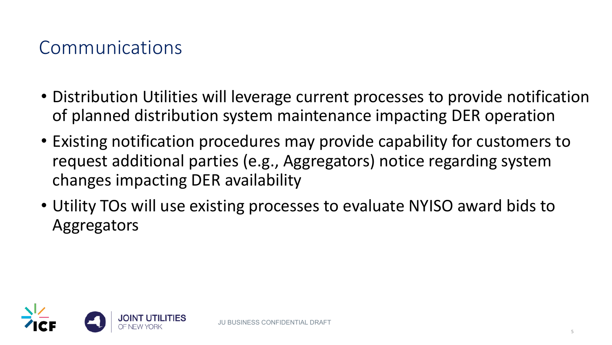#### Communications

- Distribution Utilities will leverage current processes to provide notification of planned distribution system maintenance impacting DER operation
- Existing notification procedures may provide capability for customers to request additional parties (e.g., Aggregators) notice regarding system changes impacting DER availability
- Utility TOs will use existing processes to evaluate NYISO award bids to Aggregators

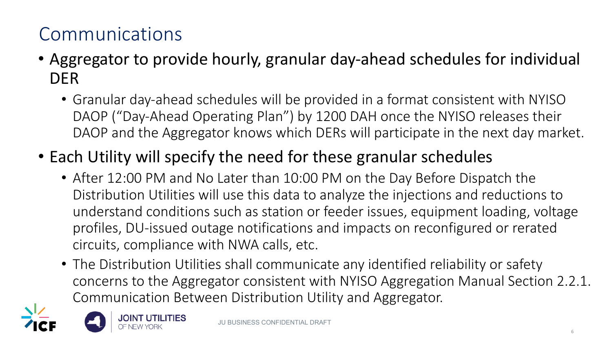## Communications

- Aggregator to provide hourly, granular day-ahead schedules for individual DER
	- Granular day-ahead schedules will be provided in a format consistent with NYISO DAOP ("Day-Ahead Operating Plan") by 1200 DAH once the NYISO releases their DAOP and the Aggregator knows which DERs will participate in the next day market.
- Each Utility will specify the need for these granular schedules
	- After 12:00 PM and No Later than 10:00 PM on the Day Before Dispatch the Distribution Utilities will use this data to analyze the injections and reductions to understand conditions such as station or feeder issues, equipment loading, voltage profiles, DU-issued outage notifications and impacts on reconfigured or rerated circuits, compliance with NWA calls, etc.
	- The Distribution Utilities shall communicate any identified reliability or safety concerns to the Aggregator consistent with NYISO Aggregation Manual Section 2.2.1. Communication Between Distribution Utility and Aggregator.



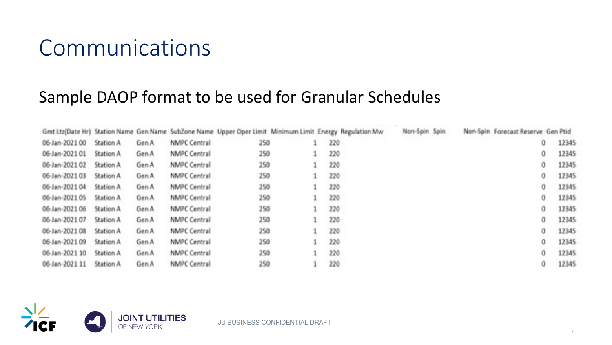## Communications

#### Sample DAOP format to be used for Granular Schedules

|                |           |       |                     | Gmt Ltz(Date Hr) Station Name Gen Name SubZone Name Upper Oper Limit Minimum Limit Energy Regulation Mw |     | Non-Spin Spin |  | Non-Spin Forecast Reserve Gen Ptid |       |
|----------------|-----------|-------|---------------------|---------------------------------------------------------------------------------------------------------|-----|---------------|--|------------------------------------|-------|
| 06-Jan-2021 00 | Station A | Gen A | NMPC Central        | 250                                                                                                     | 220 |               |  | 0                                  | 12345 |
| 06-Jan-2021 01 | Station A | Gen A | NMPC Central        | 250                                                                                                     | 220 |               |  | 0                                  | 12345 |
| 06-Jan-2021 02 | Station A | Gen A | NMPC Central        | 250                                                                                                     | 220 |               |  | 0                                  | 12345 |
| 06-Jan-2021 03 | Station A | Gen A | NMPC Central        | 250                                                                                                     | 220 |               |  | 0                                  | 12345 |
| 06-Jan-2021 04 | Station A | Gen A | NMPC Central        | 250                                                                                                     | 220 |               |  | 0                                  | 12345 |
| 06-Jan-2021 05 | Station A | Gen A | NMPC Central        | 250                                                                                                     | 220 |               |  | 0                                  | 12345 |
| 06-Jan-2021 06 | Station A | Gen A | <b>NMPC Central</b> | 250                                                                                                     | 220 |               |  | 0                                  | 12345 |
| 06-Jan-2021 07 | Station A | Gen A | <b>NMPC Central</b> | 250                                                                                                     | 220 |               |  | 0                                  | 12345 |
| 06-Jan-2021 08 | Station A | Gen A | NMPC Central        | 250                                                                                                     | 220 |               |  | 0                                  | 12345 |
| 06-Jan-2021 09 | Station A | Gen A | NMPC Central        | 250                                                                                                     | 220 |               |  | 0                                  | 12345 |
| 06-Jan-2021 10 | Station A | Gen A | NMPC Central        | 250                                                                                                     | 220 |               |  | 0                                  | 12345 |
| 06-Jan-2021 11 | Station A | Gen A | NMPC Central        | 250                                                                                                     | 220 |               |  | 0                                  | 12345 |



JU BUSINESS CONFIDENTIAL DRAFT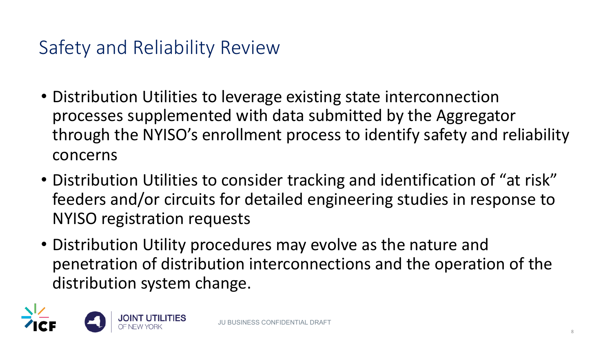### Safety and Reliability Review

- Distribution Utilities to leverage existing state interconnection processes supplemented with data submitted by the Aggregator through the NYISO's enrollment process to identify safety and reliability concerns
- Distribution Utilities to consider tracking and identification of "at risk" feeders and/or circuits for detailed engineering studies in response to NYISO registration requests
- Distribution Utility procedures may evolve as the nature and penetration of distribution interconnections and the operation of the distribution system change.

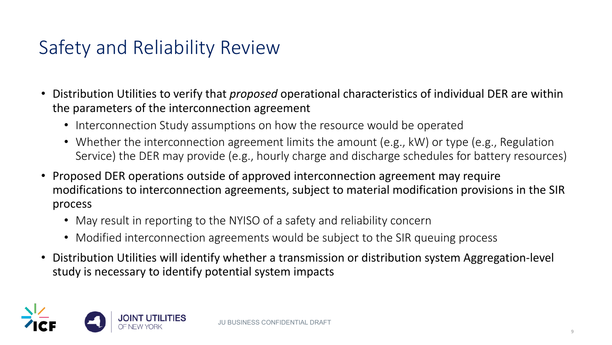### Safety and Reliability Review

- Distribution Utilities to verify that *proposed* operational characteristics of individual DER are within the parameters of the interconnection agreement
	- Interconnection Study assumptions on how the resource would be operated
	- Whether the interconnection agreement limits the amount (e.g., kW) or type (e.g., Regulation Service) the DER may provide (e.g., hourly charge and discharge schedules for battery resources)
- Proposed DER operations outside of approved interconnection agreement may require modifications to interconnection agreements, subject to material modification provisions in the SIR process
	- May result in reporting to the NYISO of a safety and reliability concern
	- Modified interconnection agreements would be subject to the SIR queuing process
- Distribution Utilities will identify whether a transmission or distribution system Aggregation-level study is necessary to identify potential system impacts

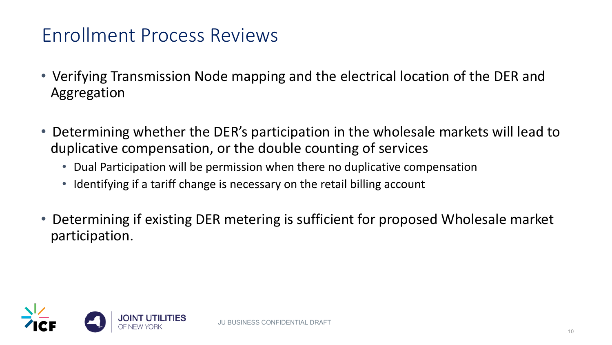#### Enrollment Process Reviews

- Verifying Transmission Node mapping and the electrical location of the DER and Aggregation
- Determining whether the DER's participation in the wholesale markets will lead to duplicative compensation, or the double counting of services
	- Dual Participation will be permission when there no duplicative compensation
	- Identifying if a tariff change is necessary on the retail billing account
- Determining if existing DER metering is sufficient for proposed Wholesale market participation.

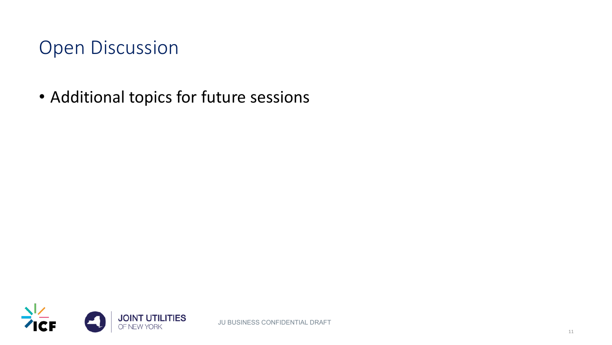#### Open Discussion

• Additional topics for future sessions

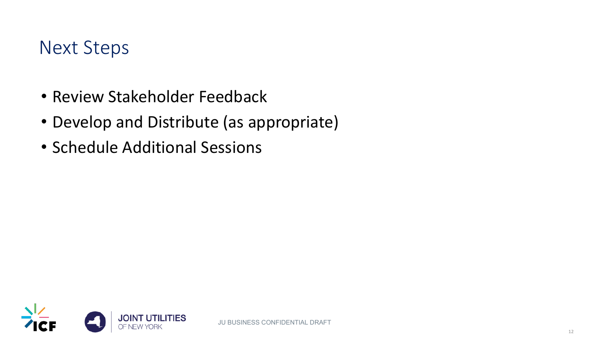#### Next Steps

- Review Stakeholder Feedback
- Develop and Distribute (as appropriate)
- Schedule Additional Sessions

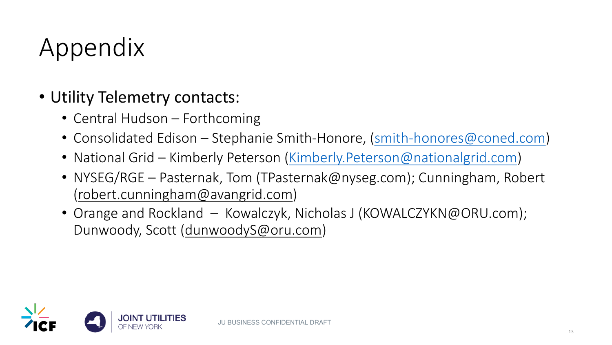# Ap[pendix](mailto:robert.cunningham@avangrid.com)

#### • Utility Telemetry contacts:

- Central Hudson Forthcoming
- Consolidated Edison Stephanie Smith-Honore, (sm
- National Grid Kimberly Peterson (Kimberly.Peterson
- NYSEG/RGE Pasternak, Tom (TPasternak@nyseg.com) (robert.cunningham@avangrid.com)
- Orange and Rockland Kowalczyk, Nicholas J (KOW Dunwoody, Scott (dunwoodyS@oru.com)